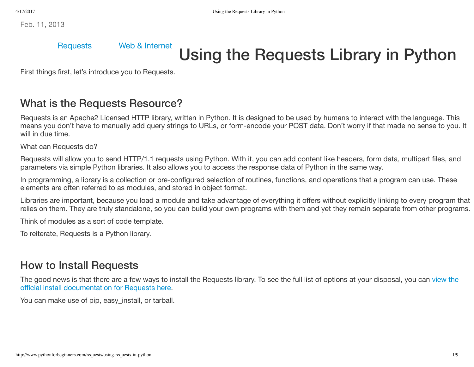Feb. 11, 2013

#### [Requests](http://www.pythonforbeginners.com/requests/) Web & [Internet](http://www.pythonforbeginners.com/python-on-the-web/)

# Using the Requests Library in Python

First things first, let's introduce you to Requests.

#### What is the Requests Resource?

Requests is an Apache2 Licensed HTTP library, written in Python. It is designed to be used by humans to interact with the language. This means you don't have to manually add query strings to URLs, or form-encode your POST data. Don't worry if that made no sense to you. It will in due time.

What can Requests do?

Requests will allow you to send HTTP/1.1 requests using Python. With it, you can add content like headers, form data, multipart files, and parameters via simple Python libraries. It also allows you to access the response data of Python in the same way.

In programming, a library is a collection or pre-configured selection of routines, functions, and operations that a program can use. These elements are often referred to as modules, and stored in object format.

Libraries are important, because you load a module and take advantage of everything it offers without explicitly linking to every program that relies on them. They are truly standalone, so you can build your own programs with them and yet they remain separate from other programs.

Think of modules as a sort of code template.

To reiterate, Requests is a Python library.

#### How to Install Requests

The good news is that there are a few ways to install the [Requests library.](http://docs.python-requests.org/en/latest/user/install/) To see the full list of options at your disposal, you can view the official install documentation for Requests here.

You can make use of pip, easy install, or tarball.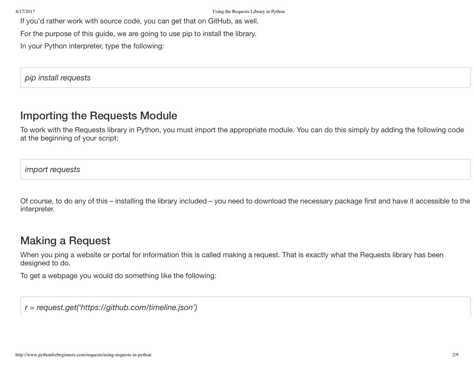If you'd rather work with source code, you can get that on GitHub, as well.

For the purpose of this guide, we are going to use pip to install the library.

In your Python interpreter, type the following:

*pip install requests*

#### Importing the Requests Module

To work with the Requests library in Python, you must import the appropriate module. You can do this simply by adding the following code at the beginning of your script:

*import requests*

Of course, to do any of this – installing the library included – you need to download the necessary package first and have it accessible to the interpreter.

#### Making a Request

When you ping a website or portal for information this is called making a request. That is exactly what the Requests library has been designed to do.

To get a webpage you would do something like the following:

*r = request.get('https://github.com/timeline.json')*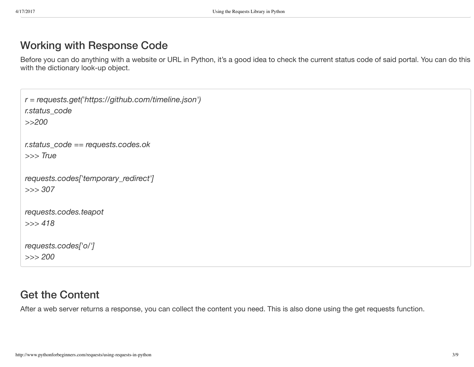#### Working with Response Code

Before you can do anything with a website or URL in Python, it's a good idea to check the current status code of said portal. You can do this with the dictionary look-up object.

```
r = requests.get('https://github.com/timeline.json')
r.status_code
>>200
r.status_code == requests.codes.ok
>>> True
requests.codes['temporary_redirect']
>>> 307
requests.codes.teapot
>>> 418
requests.codes['o/']
>>> 200
```
#### Get the Content

After a web server returns a response, you can collect the content you need. This is also done using the get requests function.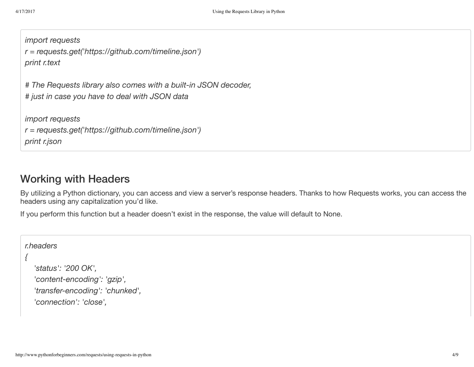```
import requests
r = requests.get('https://github.com/timeline.json')
print r.text
```
*# The Requests library also comes with a built-in JSON decoder, # just in case you have to deal with JSON data*

*import requests*

```
r = requests.get('https://github.com/timeline.json')
```
*print r.json*

#### Working with Headers

By utilizing a Python dictionary, you can access and view a server's response headers. Thanks to how Requests works, you can access the headers using any capitalization you'd like.

If you perform this function but a header doesn't exist in the response, the value will default to None.

```
r.headers
{
   'status': '200 OK',
  'content-encoding': 'gzip',
   'transfer-encoding': 'chunked',
  'connection': 'close',
```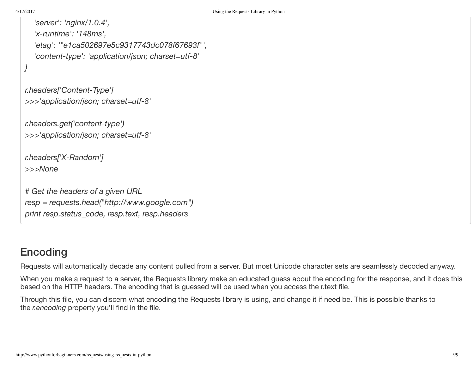```
'server': 'nginx/1.0.4',
  'x-runtime': '148ms',
  'etag': '"e1ca502697e5c9317743dc078f67693f"',
  'content-type': 'application/json; charset=utf-8'
}
```

```
r.headers['Content-Type']
>>>'application/json; charset=utf-8'
```
*r.headers.get('content-type') >>>'application/json; charset=utf-8'*

```
r.headers['X-Random']
>>>None
```
*# Get the headers of a given URL resp = requests.head("http://www.google.com") print resp.status\_code, resp.text, resp.headers*

# Encoding

Requests will automatically decade any content pulled from a server. But most Unicode character sets are seamlessly decoded anyway.

When you make a request to a server, the Requests library make an educated guess about the encoding for the response, and it does this based on the HTTP headers. The encoding that is guessed will be used when you access the r.text file.

Through this file, you can discern what encoding the Requests library is using, and change it if need be. This is possible thanks to the *r.encoding* property you'll find in the file.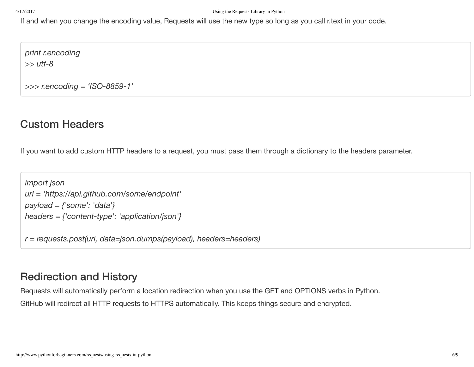If and when you change the encoding value, Requests will use the new type so long as you call r.text in your code.

*print r.encoding >> utf-8*

*>>> r.encoding = 'ISO-8859-1'*

### Custom Headers

If you want to add custom HTTP headers to a request, you must pass them through a dictionary to the headers parameter.

```
import json
url = 'https://api.github.com/some/endpoint'
payload = {'some': 'data'}
headers = {'content-type': 'application/json'}
```
*r = requests.post(url, data=json.dumps(payload), headers=headers)*

## Redirection and History

Requests will automatically perform a location redirection when you use the GET and OPTIONS verbs in Python.

GitHub will redirect all HTTP requests to HTTPS automatically. This keeps things secure and encrypted.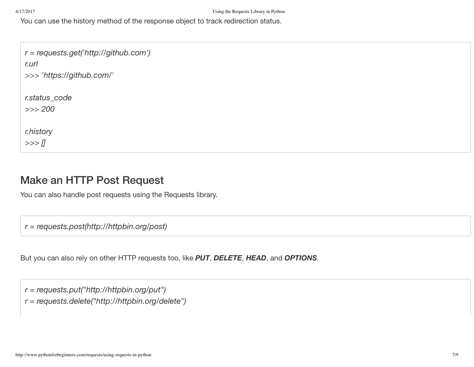You can use the history method of the response object to track redirection status.

*r = requests.get('http://github.com') r.url >>> 'https://github.com/' r.status\_code >>> 200 r.history >>> []*

#### Make an HTTP Post Request

You can also handle post requests using the Requests library.

*r = requests.post(http://httpbin.org/post)*

But you can also rely on other HTTP requests too, like *PUT*, *DELETE*, *HEAD*, and *OPTIONS*.

*r = requests.put("http://httpbin.org/put")*

*r = requests.delete("http://httpbin.org/delete")*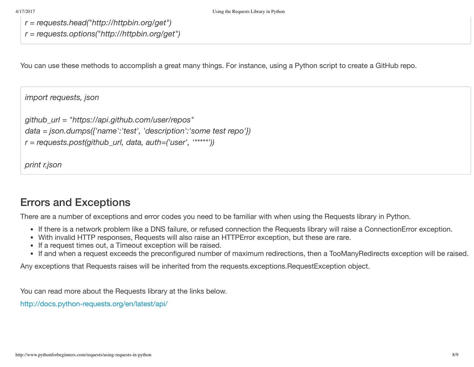*r = requests.head("http://httpbin.org/get")*

*r = requests.options("http://httpbin.org/get")*

You can use these methods to accomplish a great many things. For instance, using a Python script to create a GitHub repo.

```
import requests, json
github_url = "https://api.github.com/user/repos"
data = json.dumps({'name':'test', 'description':'some test repo'})
r = requests.post(github_url, data, auth=('user', '*****'))
```
*print r.json*

#### Errors and Exceptions

There are a number of exceptions and error codes you need to be familiar with when using the Requests library in Python.

- If there is a network problem like a DNS failure, or refused connection the Requests library will raise a ConnectionError exception.
- With invalid HTTP responses, Requests will also raise an HTTPError exception, but these are rare.
- If a request times out, a Timeout exception will be raised.
- If and when a request exceeds the preconfigured number of maximum redirections, then a TooManyRedirects exception will be raised.

Any exceptions that Requests raises will be inherited from the requests.exceptions.RequestException object.

You can read more about the Requests library at the links below.

<http://docs.python-requests.org/en/latest/api/>